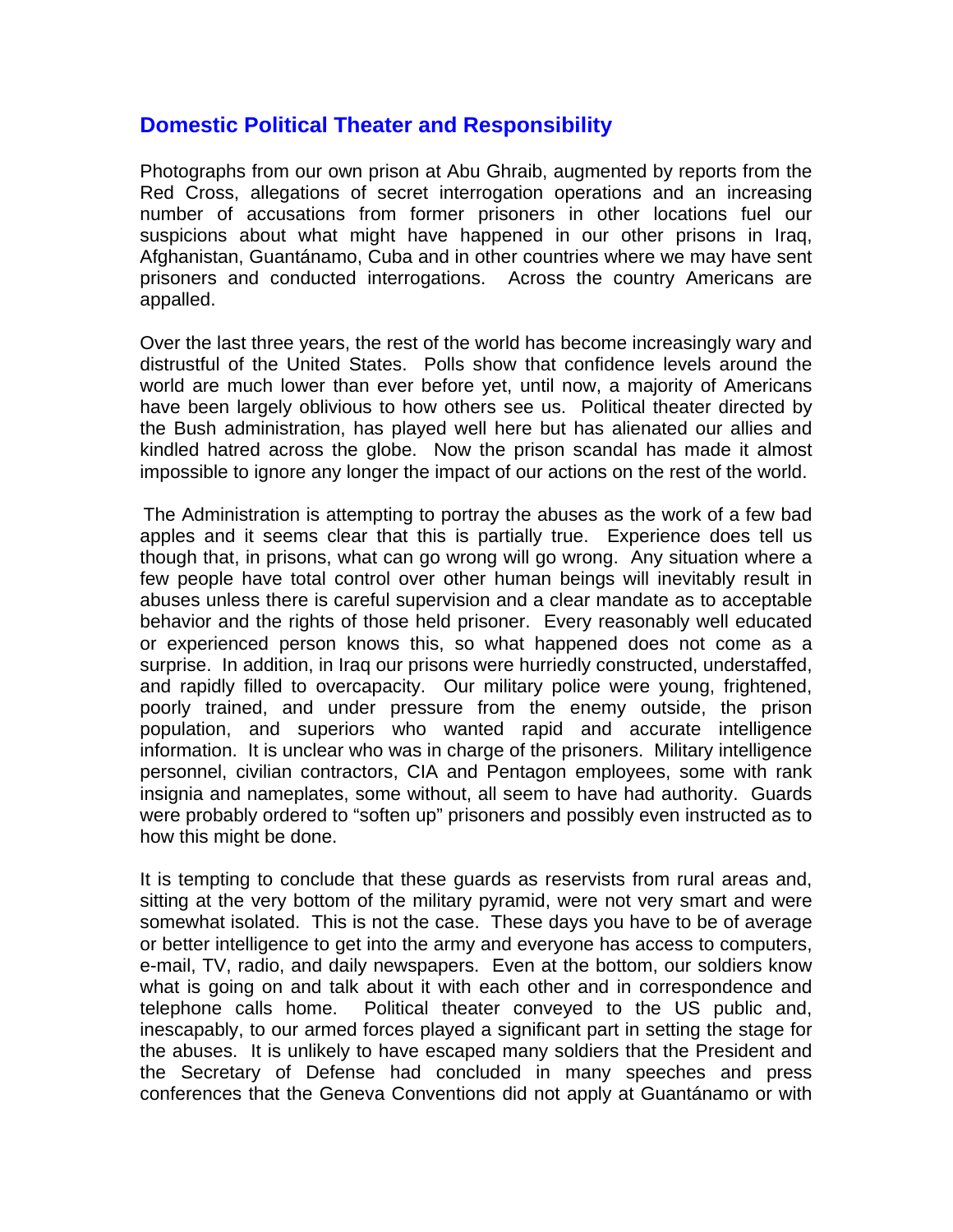## **Domestic Political Theater and Responsibility**

Photographs from our own prison at Abu Ghraib, augmented by reports from the Red Cross, allegations of secret interrogation operations and an increasing number of accusations from former prisoners in other locations fuel our suspicions about what might have happened in our other prisons in Iraq, Afghanistan, Guantánamo, Cuba and in other countries where we may have sent prisoners and conducted interrogations. Across the country Americans are appalled.

Over the last three years, the rest of the world has become increasingly wary and distrustful of the United States. Polls show that confidence levels around the world are much lower than ever before yet, until now, a majority of Americans have been largely oblivious to how others see us. Political theater directed by the Bush administration, has played well here but has alienated our allies and kindled hatred across the globe. Now the prison scandal has made it almost impossible to ignore any longer the impact of our actions on the rest of the world.

 The Administration is attempting to portray the abuses as the work of a few bad apples and it seems clear that this is partially true. Experience does tell us though that, in prisons, what can go wrong will go wrong. Any situation where a few people have total control over other human beings will inevitably result in abuses unless there is careful supervision and a clear mandate as to acceptable behavior and the rights of those held prisoner. Every reasonably well educated or experienced person knows this, so what happened does not come as a surprise. In addition, in Iraq our prisons were hurriedly constructed, understaffed, and rapidly filled to overcapacity. Our military police were young, frightened, poorly trained, and under pressure from the enemy outside, the prison population, and superiors who wanted rapid and accurate intelligence information. It is unclear who was in charge of the prisoners. Military intelligence personnel, civilian contractors, CIA and Pentagon employees, some with rank insignia and nameplates, some without, all seem to have had authority. Guards were probably ordered to "soften up" prisoners and possibly even instructed as to how this might be done.

It is tempting to conclude that these guards as reservists from rural areas and, sitting at the very bottom of the military pyramid, were not very smart and were somewhat isolated. This is not the case. These days you have to be of average or better intelligence to get into the army and everyone has access to computers, e-mail, TV, radio, and daily newspapers. Even at the bottom, our soldiers know what is going on and talk about it with each other and in correspondence and telephone calls home. Political theater conveyed to the US public and, inescapably, to our armed forces played a significant part in setting the stage for the abuses. It is unlikely to have escaped many soldiers that the President and the Secretary of Defense had concluded in many speeches and press conferences that the Geneva Conventions did not apply at Guantánamo or with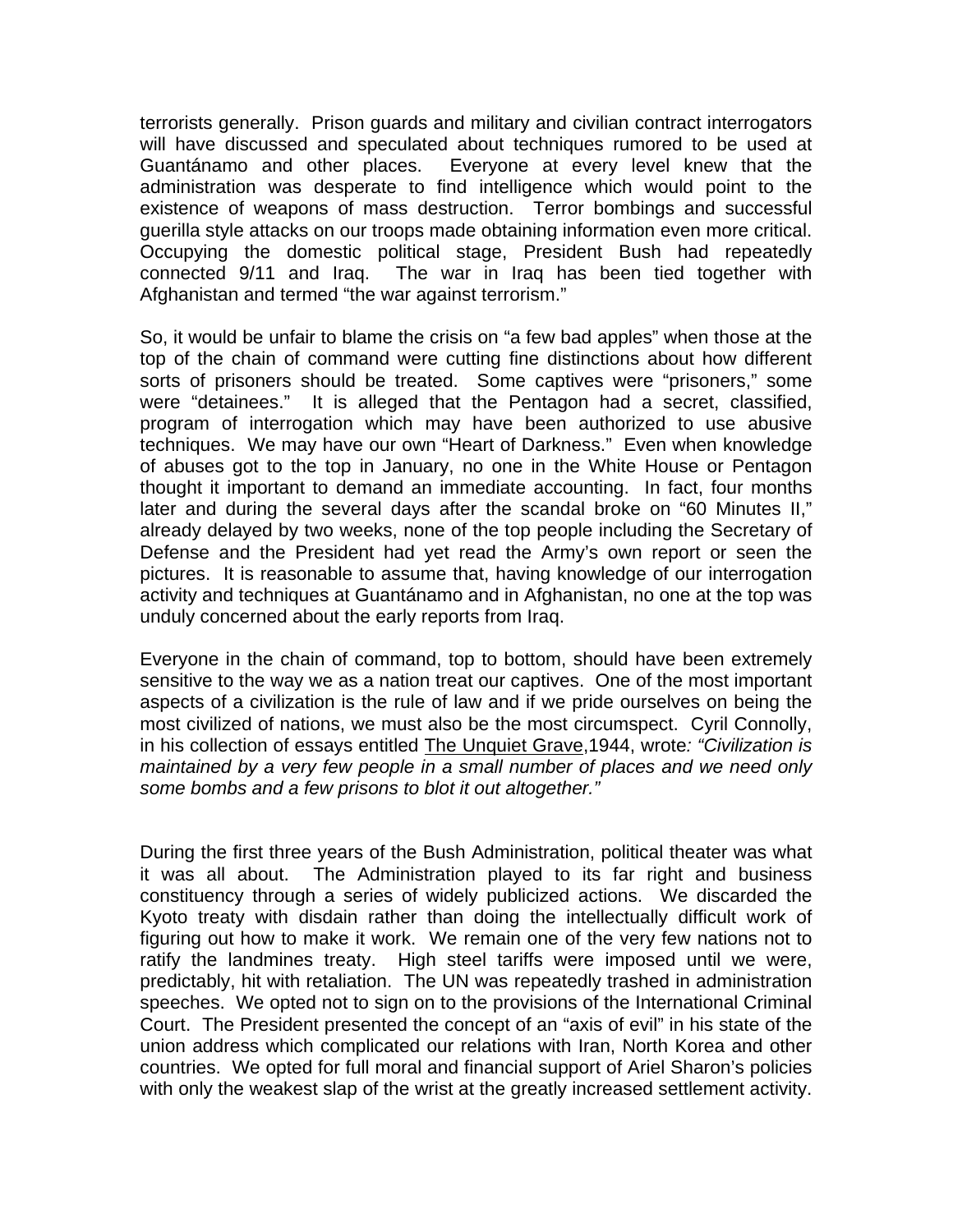terrorists generally. Prison guards and military and civilian contract interrogators will have discussed and speculated about techniques rumored to be used at Guantánamo and other places. Everyone at every level knew that the administration was desperate to find intelligence which would point to the existence of weapons of mass destruction. Terror bombings and successful guerilla style attacks on our troops made obtaining information even more critical. Occupying the domestic political stage, President Bush had repeatedly connected 9/11 and Iraq. The war in Iraq has been tied together with Afghanistan and termed "the war against terrorism."

So, it would be unfair to blame the crisis on "a few bad apples" when those at the top of the chain of command were cutting fine distinctions about how different sorts of prisoners should be treated. Some captives were "prisoners," some were "detainees." It is alleged that the Pentagon had a secret, classified, program of interrogation which may have been authorized to use abusive techniques. We may have our own "Heart of Darkness." Even when knowledge of abuses got to the top in January, no one in the White House or Pentagon thought it important to demand an immediate accounting. In fact, four months later and during the several days after the scandal broke on "60 Minutes II," already delayed by two weeks, none of the top people including the Secretary of Defense and the President had yet read the Army's own report or seen the pictures. It is reasonable to assume that, having knowledge of our interrogation activity and techniques at Guantánamo and in Afghanistan, no one at the top was unduly concerned about the early reports from Iraq.

Everyone in the chain of command, top to bottom, should have been extremely sensitive to the way we as a nation treat our captives. One of the most important aspects of a civilization is the rule of law and if we pride ourselves on being the most civilized of nations, we must also be the most circumspect. Cyril Connolly, in his collection of essays entitled The Unquiet Grave,1944, wrote*: "Civilization is maintained by a very few people in a small number of places and we need only some bombs and a few prisons to blot it out altogether."*

During the first three years of the Bush Administration, political theater was what it was all about. The Administration played to its far right and business constituency through a series of widely publicized actions. We discarded the Kyoto treaty with disdain rather than doing the intellectually difficult work of figuring out how to make it work. We remain one of the very few nations not to ratify the landmines treaty. High steel tariffs were imposed until we were, predictably, hit with retaliation. The UN was repeatedly trashed in administration speeches. We opted not to sign on to the provisions of the International Criminal Court. The President presented the concept of an "axis of evil" in his state of the union address which complicated our relations with Iran, North Korea and other countries. We opted for full moral and financial support of Ariel Sharon's policies with only the weakest slap of the wrist at the greatly increased settlement activity.